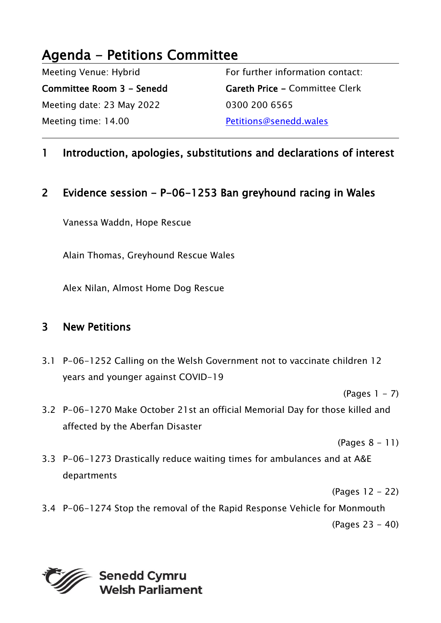## Agenda - Petitions Committee

Meeting Venue: Hybrid

Committee Room 3 - Senedd Meeting date: 23 May 2022 Meeting time: 14.00

For further information contact: Gareth Price - Committee Clerk 0300 200 6565 Petitions@senedd.wales

## 1 Introduction, apologies, substitutions and declarations of interest

## 2 Evidence session - P-06-1253 Ban greyhound racing in Wales

Vanessa Waddn, Hope Rescue

Alain Thomas, Greyhound Rescue Wales

Alex Nilan, Almost Home Dog Rescue

## 3 New Petitions

3.1 P-06-1252 Calling on the Welsh Government not to vaccinate children 12 years and younger against COVID-19

 $(Paqes 1 - 7)$ 

3.2 P-06-1270 Make October 21st an official Memorial Day for those killed and affected by the Aberfan Disaster

(Pages 8 - 11)

3.3 P-06-1273 Drastically reduce waiting times for ambulances and at A&E departments

(Pages 12 - 22)

3.4 P-06-1274 Stop the removal of the Rapid Response Vehicle for Monmouth (Pages 23 - 40)

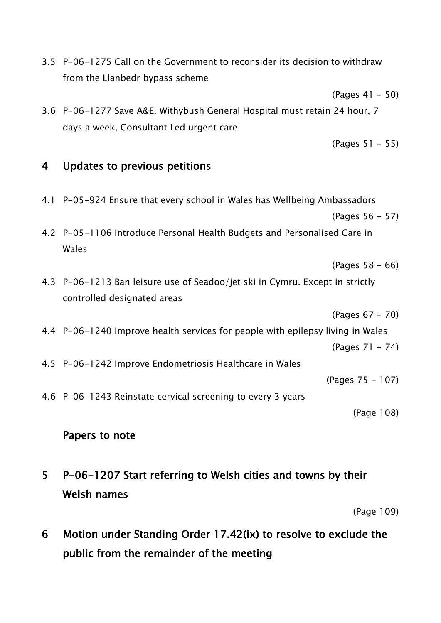|   | (Pages 51 – 55)                                                                   |
|---|-----------------------------------------------------------------------------------|
| 4 | Updates to previous petitions                                                     |
|   | 4.1 P-05-924 Ensure that every school in Wales has Wellbeing Ambassadors          |
|   | (Pages 56 – 57)                                                                   |
|   | 4.2 P-05-1106 Introduce Personal Health Budgets and Personalised Care in<br>Wales |
|   | $(Pages 58 - 66)$                                                                 |
|   | 4.3 P-06-1213 Ban leisure use of Seadoo/jet ski in Cymru. Except in strictly      |
|   | controlled designated areas                                                       |
|   | (Pages 67 - 70)                                                                   |
|   | 4.4 P-06-1240 Improve health services for people with epilepsy living in Wales    |
|   | (Pages 71 – 74)                                                                   |
|   | 4.5 P-06-1242 Improve Endometriosis Healthcare in Wales                           |
|   | (Pages 75 - 107)                                                                  |
|   | 4.6 P-06-1243 Reinstate cervical screening to every 3 years                       |
|   | (Page 108)                                                                        |
|   | Papers to note                                                                    |

3.5 P-06-1275 Call on the Government to reconsider its decision to withdraw

3.6 P-06-1277 Save A&E. Withybush General Hospital must retain 24 hour, 7

from the Llanbedr bypass scheme

days a week, Consultant Led urgent care

5 P-06-1207 Start referring to Welsh cities and towns by their Welsh names

(Page 109)

(Pages 41 - 50)

6 Motion under Standing Order 17.42(ix) to resolve to exclude the public from the remainder of the meeting